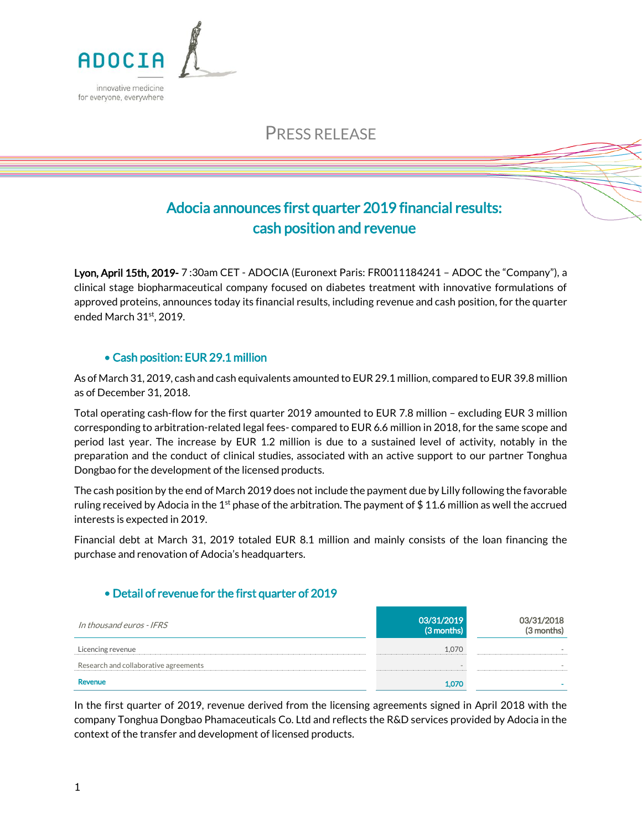

# PRESS RELEASE

# Adocia announces first quarter 2019 financial results: cash position and revenue

Lyon, April 15th, 2019- 7 :30am CET - ADOCIA (Euronext Paris: FR0011184241 – ADOC the "Company"), a clinical stage biopharmaceutical company focused on diabetes treatment with innovative formulations of approved proteins, announces today its financial results, including revenue and cash position, for the quarter ended March 31st, 2019.

## • Cash position: EUR 29.1 million

As of March 31, 2019, cash and cash equivalents amounted to EUR 29.1 million, compared to EUR 39.8 million as of December 31, 2018.

Total operating cash-flow for the first quarter 2019 amounted to EUR 7.8 million – excluding EUR 3 million corresponding to arbitration-related legal fees- compared to EUR 6.6 million in 2018, for the same scope and period last year. The increase by EUR 1.2 million is due to a sustained level of activity, notably in the preparation and the conduct of clinical studies, associated with an active support to our partner Tonghua Dongbao for the development of the licensed products.

The cash position by the end of March 2019 does not include the payment due by Lilly following the favorable ruling received by Adocia in the 1<sup>st</sup> phase of the arbitration. The payment of \$11.6 million as well the accrued interests is expected in 2019.

Financial debt at March 31, 2019 totaled EUR 8.1 million and mainly consists of the loan financing the purchase and renovation of Adocia's headquarters.

### • Detail of revenue for the first quarter of 2019

| In thousand euros - IFRS              | 03/31/2019<br>(3 months) | 03/31/2018<br>(3 months) |
|---------------------------------------|--------------------------|--------------------------|
| Licencing revenue                     | 1.070                    |                          |
| Research and collaborative agreements |                          |                          |
| Revenue                               | 1.070                    |                          |

In the first quarter of 2019, revenue derived from the licensing agreements signed in April 2018 with the company Tonghua Dongbao Phamaceuticals Co. Ltd and reflects the R&D services provided by Adocia in the context of the transfer and development of licensed products.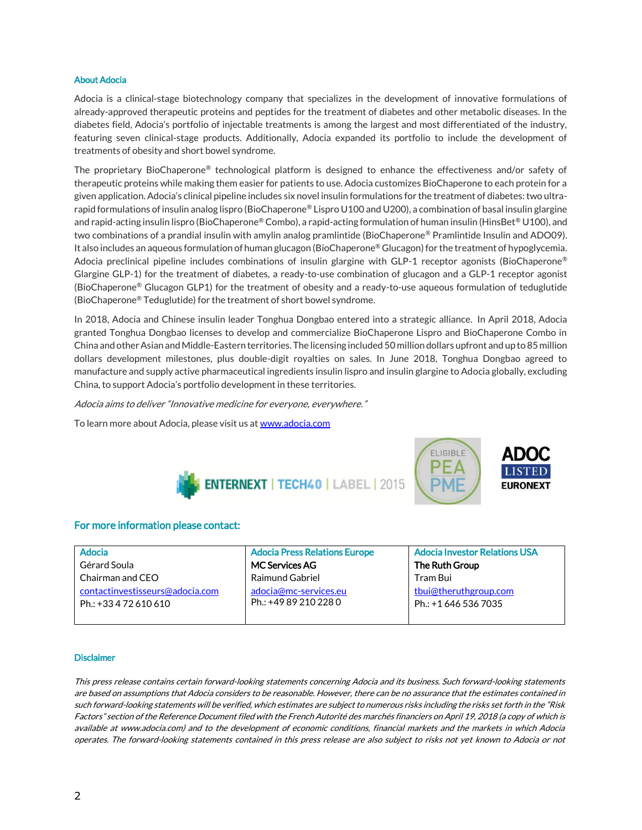### About Adocia

Adocia is a clinical-stage biotechnology company that specializes in the development of innovative formulations of already-approved therapeutic proteins and peptides for the treatment of diabetes and other metabolic diseases. In the diabetes field, Adocia's portfolio of injectable treatments is among the largest and most differentiated of the industry, featuring seven clinical-stage products. Additionally, Adocia expanded its portfolio to include the development of treatments of obesity and short bowel syndrome.

The proprietary BioChaperone® technological platform is designed to enhance the effectiveness and/or safety of therapeutic proteins while making them easier for patients to use. Adocia customizes BioChaperone to each protein for a given application. Adocia's clinical pipeline includes six novel insulin formulations for the treatment of diabetes: two ultrarapid formulations of insulin analog lispro (BioChaperone® Lispro U100 and U200), a combination of basal insulin glargine and rapid-acting insulin lispro (BioChaperone® Combo), a rapid-acting formulation of human insulin (HinsBet® U100), and two combinations of a prandial insulin with amylin analog pramlintide (BioChaperone® Pramlintide Insulin and ADO09). It also includes an aqueous formulation of human glucagon (BioChaperone® Glucagon) for the treatment of hypoglycemia. Adocia preclinical pipeline includes combinations of insulin glargine with GLP-1 receptor agonists (BioChaperone® Glargine GLP-1) for the treatment of diabetes, a ready-to-use combination of glucagon and a GLP-1 receptor agonist (BioChaperone<sup>®</sup> Glucagon GLP1) for the treatment of obesity and a ready-to-use aqueous formulation of teduglutide (BioChaperone® Teduglutide) for the treatment of short bowel syndrome.

In 2018, Adocia and Chinese insulin leader Tonghua Dongbao entered into a strategic alliance. In April 2018, Adocia granted Tonghua Dongbao licenses to develop and commercialize BioChaperone Lispro and BioChaperone Combo in China and other Asian and Middle-Eastern territories. The licensing included 50 million dollars upfront and up to 85 million dollars development milestones, plus double-digit royalties on sales. In June 2018, Tonghua Dongbao agreed to manufacture and supply active pharmaceutical ingredients insulin lispro and insulin glargine to Adocia globally, excluding China, to support Adocia's portfolio development in these territories.

Adocia aims to deliver "Innovative medicine for everyone, everywhere."

To learn more about Adocia, please visit us a[t www.adocia.com](http://www.adocia.com/)





### For more information please contact:

Adocia Gérard Soula Chairman and CEO contactinvestisseurs@adocia.com Ph.: +33 4 72 610 610

Adocia Press Relations Europe MC Services AG Raimund Gabriel adocia@mc-services.eu Ph.: +49 89 210 228 0

Adocia Investor Relations USA The Ruth Group Tram Bui [tbui@theruthgroup.com](mailto:tbui@theruthgroup.com) Ph.: +1 646 536 7035

**ELIGIBLE** 

#### **Disclaimer**

This press release contains certain forward-looking statements concerning Adocia and its business. Such forward-looking statements are based on assumptions that Adocia considers to be reasonable. However, there can be no assurance that the estimates contained in such forward-looking statements will be verified, which estimates are subject to numerous risks including the risks set forth in the "Risk Factors" section of the Reference Document filed with the French Autorité des marchés financiers on April 19, 2018 (a copy of which is available at www.adocia.com) and to the development of economic conditions, financial markets and the markets in which Adocia operates. The forward-looking statements contained in this press release are also subject to risks not yet known to Adocia or not